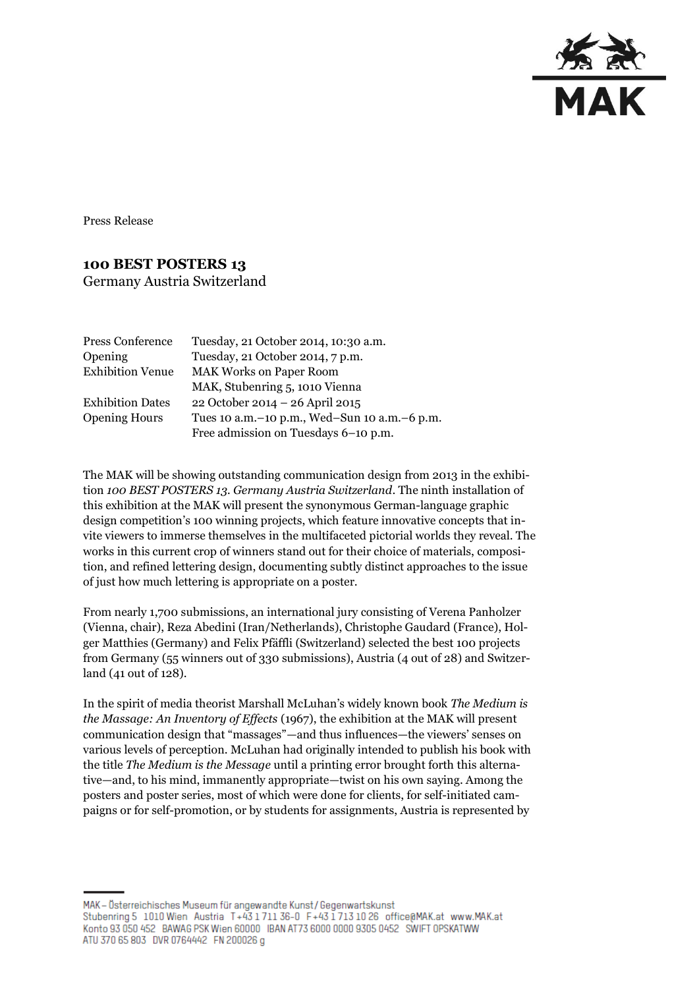

Press Release

## **100 BEST POSTERS 13**

Germany Austria Switzerland

| Press Conference        | Tuesday, 21 October 2014, 10:30 a.m.             |
|-------------------------|--------------------------------------------------|
| <b>Opening</b>          | Tuesday, 21 October 2014, 7 p.m.                 |
| <b>Exhibition Venue</b> | <b>MAK Works on Paper Room</b>                   |
|                         | MAK, Stubenring 5, 1010 Vienna                   |
| <b>Exhibition Dates</b> | 22 October 2014 – 26 April 2015                  |
| <b>Opening Hours</b>    | Tues 10 a.m. - 10 p.m., Wed-Sun 10 a.m. - 6 p.m. |
|                         | Free admission on Tuesdays 6-10 p.m.             |

The MAK will be showing outstanding communication design from 2013 in the exhibition *100 BEST POSTERS 13. Germany Austria Switzerland*. The ninth installation of this exhibition at the MAK will present the synonymous German-language graphic design competition's 100 winning projects, which feature innovative concepts that invite viewers to immerse themselves in the multifaceted pictorial worlds they reveal. The works in this current crop of winners stand out for their choice of materials, composition, and refined lettering design, documenting subtly distinct approaches to the issue of just how much lettering is appropriate on a poster.

From nearly 1,700 submissions, an international jury consisting of Verena Panholzer (Vienna, chair), Reza Abedini (Iran/Netherlands), Christophe Gaudard (France), Holger Matthies (Germany) and Felix Pfäffli (Switzerland) selected the best 100 projects from Germany (55 winners out of 330 submissions), Austria (4 out of 28) and Switzerland (41 out of 128).

In the spirit of media theorist Marshall McLuhan's widely known book *The Medium is the Massage: An Inventory of Effects* (1967), the exhibition at the MAK will present communication design that "massages"—and thus influences—the viewers' senses on various levels of perception. McLuhan had originally intended to publish his book with the title *The Medium is the Message* until a printing error brought forth this alternative—and, to his mind, immanently appropriate—twist on his own saying. Among the posters and poster series, most of which were done for clients, for self-initiated campaigns or for self-promotion, or by students for assignments, Austria is represented by

MAK-Österreichisches Museum für angewandte Kunst/Gegenwartskunst Stubenring 5 1010 Wien Austria T+43 1711 36-0 F+43 1713 10 26 office@MAK.at www.MAK.at Konto 93 050 452 BAWAG PSK Wien 60000 IBAN AT73 6000 0000 9305 0452 SWIFT OPSKATWW ATU 370 65 803 DVR 0764442 FN 200026 g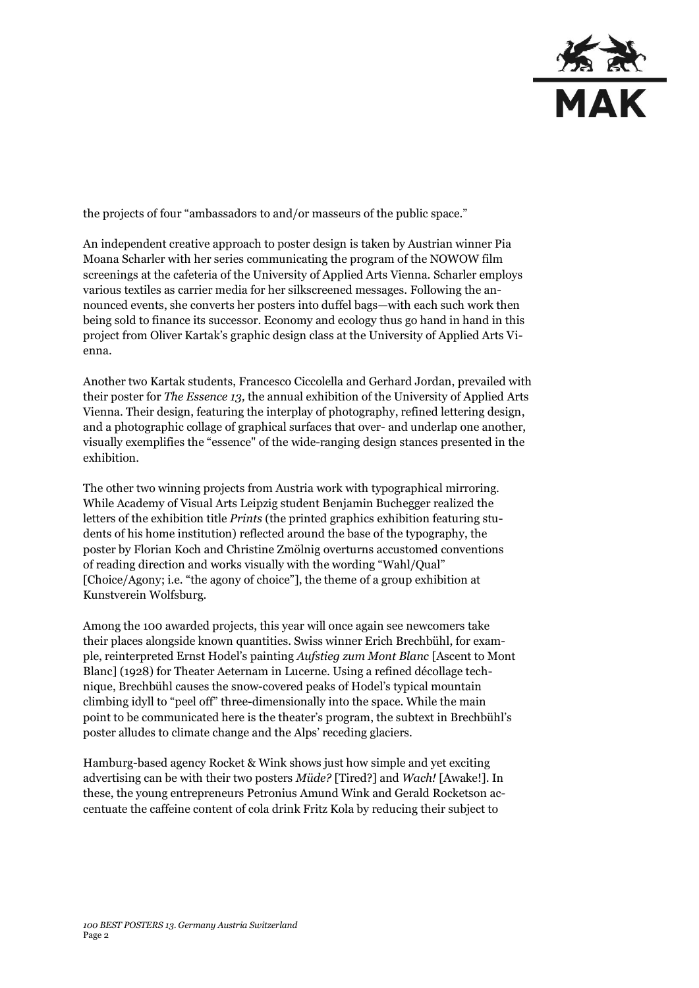

the projects of four "ambassadors to and/or masseurs of the public space."

An independent creative approach to poster design is taken by Austrian winner Pia Moana Scharler with her series communicating the program of the NOWOW film screenings at the cafeteria of the University of Applied Arts Vienna. Scharler employs various textiles as carrier media for her silkscreened messages. Following the announced events, she converts her posters into duffel bags—with each such work then being sold to finance its successor. Economy and ecology thus go hand in hand in this project from Oliver Kartak's graphic design class at the University of Applied Arts Vienna.

Another two Kartak students, Francesco Ciccolella and Gerhard Jordan, prevailed with their poster for *The Essence 13,* the annual exhibition of the University of Applied Arts Vienna. Their design, featuring the interplay of photography, refined lettering design, and a photographic collage of graphical surfaces that over- and underlap one another, visually exemplifies the "essence" of the wide-ranging design stances presented in the exhibition.

The other two winning projects from Austria work with typographical mirroring. While Academy of Visual Arts Leipzig student Benjamin Buchegger realized the letters of the exhibition title *Prints* (the printed graphics exhibition featuring students of his home institution) reflected around the base of the typography, the poster by Florian Koch and Christine Zmölnig overturns accustomed conventions of reading direction and works visually with the wording "Wahl/Qual" [Choice/Agony; i.e. "the agony of choice"], the theme of a group exhibition at Kunstverein Wolfsburg.

Among the 100 awarded projects, this year will once again see newcomers take their places alongside known quantities. Swiss winner Erich Brechbühl, for example, reinterpreted Ernst Hodel's painting *Aufstieg zum Mont Blanc* [Ascent to Mont Blanc] (1928) for Theater Aeternam in Lucerne. Using a refined décollage technique, Brechbühl causes the snow-covered peaks of Hodel's typical mountain climbing idyll to "peel off" three-dimensionally into the space. While the main point to be communicated here is the theater's program, the subtext in Brechbühl's poster alludes to climate change and the Alps' receding glaciers.

Hamburg-based agency Rocket & Wink shows just how simple and yet exciting advertising can be with their two posters *Müde?* [Tired?] and *Wach!* [Awake!]. In these, the young entrepreneurs Petronius Amund Wink and Gerald Rocketson accentuate the caffeine content of cola drink Fritz Kola by reducing their subject to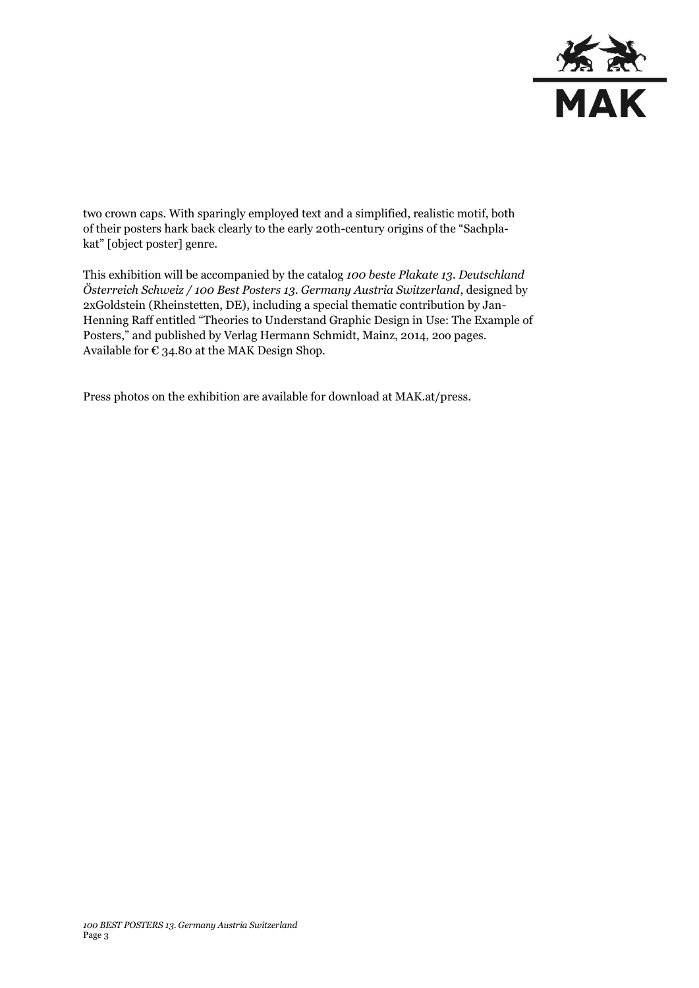

two crown caps. With sparingly employed text and a simplified, realistic motif, both of their posters hark back clearly to the early 20th-century origins of the "Sachplakat" [object poster] genre.

This exhibition will be accompanied by the catalog *100 beste Plakate 13. Deutschland Österreich Schweiz / 100 Best Posters 13. Germany Austria Switzerland*, designed by 2xGoldstein (Rheinstetten, DE), including a special thematic contribution by Jan-Henning Raff entitled "Theories to Understand Graphic Design in Use: The Example of Posters," and published by Verlag Hermann Schmidt, Mainz, 2014, 2oo pages. Available for  $\epsilon$  34.80 at the MAK Design Shop.

Press photos on the exhibition are available for download at MAK.at/press.